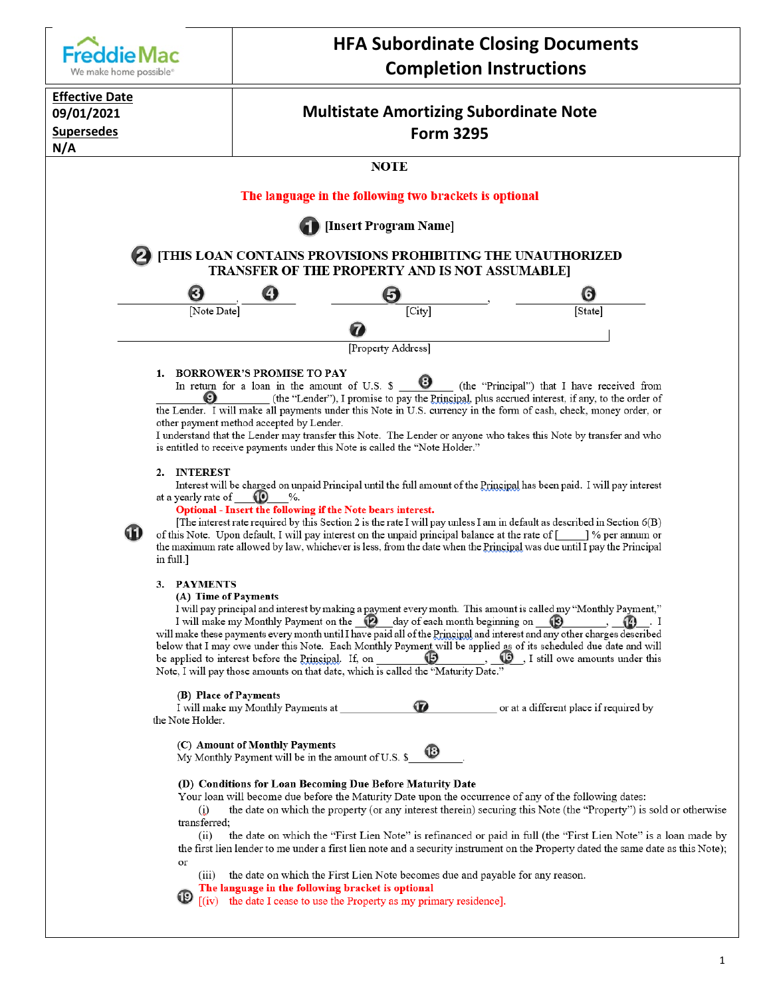

#### (A) Time of Payments

I will pay principal and interest by making a payment every month. This amount is called my "Monthly Payment," I will make my Monthly Payment on the  $\bigcirc$  day of each month beginning on  $\bigcirc$  $\odot$ .  $I$ will make these payments every month until I have paid all of the Principal and interest and any other charges described below that I may owe under this Note. Each Monthly Payment will be applied as of its scheduled due date and will  $\bigcirc$  \_, I still owe amounts under this  $\boldsymbol{\mathbb G}$ be applied to interest before the Principal. If, on Note, I will pay those amounts on that date, which is called the "Maturity Date."

#### (B) Place of Payments

My Monthly Pay

| $\left( -\right)$ = $\left( -\right)$ = $\left( -\right)$<br>I will make my Monthly Payments at | œ | or at a different place if required by |
|-------------------------------------------------------------------------------------------------|---|----------------------------------------|
| the Note Holder.                                                                                |   |                                        |

#### (C) Amount of Monthly Payments

|  | ment will be in the amount of U.S. \$ | w |
|--|---------------------------------------|---|
|  |                                       |   |

#### (D) Conditions for Loan Becoming Due Before Maturity Date

Your loan will become due before the Maturity Date upon the occurrence of any of the following dates:

æ

the date on which the property (or any interest therein) securing this Note (the "Property") is sold or otherwise  $\ddot{\omega}$ transferred;

the date on which the "First Lien Note" is refinanced or paid in full (the "First Lien Note" is a loan made by  $(ii)$ the first lien lender to me under a first lien note and a security instrument on the Property dated the same date as this Note); or

(iii) the date on which the First Lien Note becomes due and payable for any reason.

The language in the following bracket is optional

[(iv) the date I cease to use the Property as my primary residence].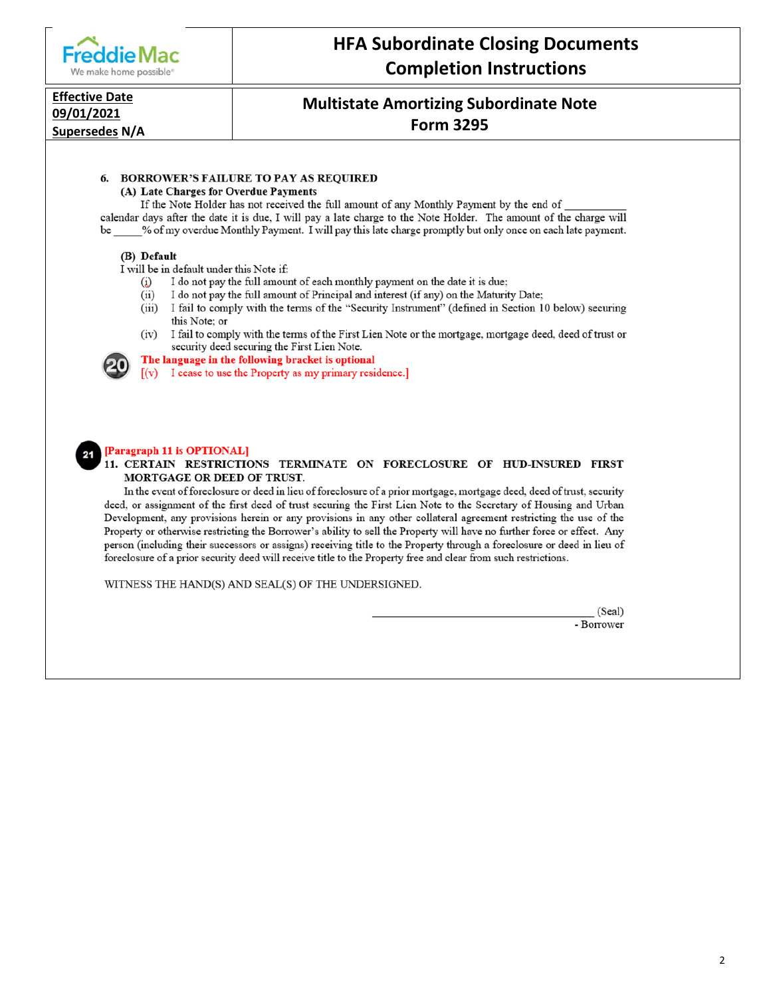

# **HFA Subordinate Closing Documents Completion Instructions**

#### **Effective Date** 09/01/2021

Supersedes N/A

## **Multistate Amortizing Subordinate Note Form 3295**

### 6. BORROWER'S FAILURE TO PAY AS REQUIRED

(A) Late Charges for Overdue Payments

If the Note Holder has not received the full amount of any Monthly Payment by the end of calendar days after the date it is due, I will pay a late charge to the Note Holder. The amount of the charge will be \_\_\_\_ % of my overdue Monthly Payment. I will pay this late charge promptly but only once on each late payment.

#### (B) Default

I will be in default under this Note if:

- $(i)$ I do not pay the full amount of each monthly payment on the date it is due;
- $(ii)$ I do not pay the full amount of Principal and interest (if any) on the Maturity Date;
- I fail to comply with the terms of the "Security Instrument" (defined in Section 10 below) securing  $(iii)$ this Note; or
- $(iv)$ I fail to comply with the terms of the First Lien Note or the mortgage, mortgage deed, deed of trust or security deed securing the First Lien Note.

The language in the following bracket is optional

[(v) I cease to use the Property as my primary residence.]

#### [Paragraph 11 is OPTIONAL]

#### 11. CERTAIN RESTRICTIONS TERMINATE ON FORECLOSURE OF HUD-INSURED FIRST MORTGAGE OR DEED OF TRUST.

In the event of foreclosure or deed in lieu of foreclosure of a prior mortgage, mortgage deed, deed of trust, security deed, or assignment of the first deed of trust securing the First Lien Note to the Secretary of Housing and Urban Development, any provisions herein or any provisions in any other collateral agreement restricting the use of the Property or otherwise restricting the Borrower's ability to sell the Property will have no further force or effect. Any person (including their successors or assigns) receiving title to the Property through a foreclosure or deed in lieu of foreclosure of a prior security deed will receive title to the Property free and clear from such restrictions.

WITNESS THE HAND(S) AND SEAL(S) OF THE UNDERSIGNED.

(Seal) - Borrower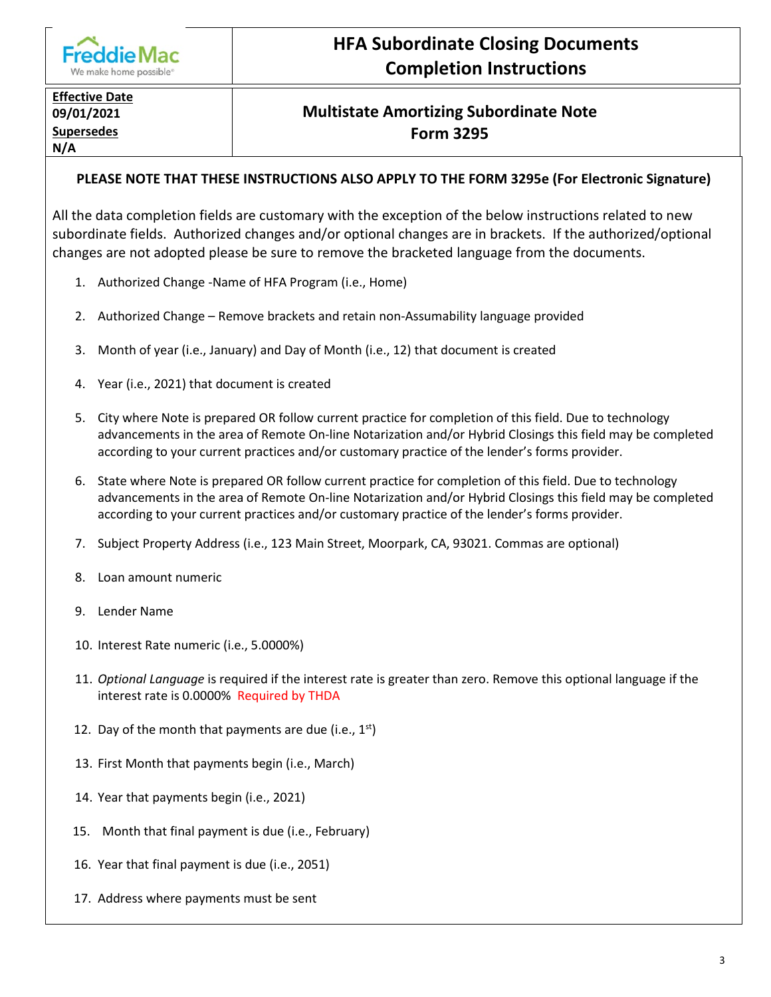

# **HFA Subordinate Closing Documents Completion Instructions**

# **Effective Date N/A**

# **09/01/2021 Multistate Amortizing Subordinate Note Supersedes Form 3295**

## **PLEASE NOTE THAT THESE INSTRUCTIONS ALSO APPLY TO THE FORM 3295e (For Electronic Signature)**

All the data completion fields are customary with the exception of the below instructions related to new subordinate fields. Authorized changes and/or optional changes are in brackets. If the authorized/optional changes are not adopted please be sure to remove the bracketed language from the documents.

- 1. Authorized Change -Name of HFA Program (i.e., Home)
- 2. Authorized Change Remove brackets and retain non-Assumability language provided
- 3. Month of year (i.e., January) and Day of Month (i.e., 12) that document is created
- 4. Year (i.e., 2021) that document is created
- 5. City where Note is prepared OR follow current practice for completion of this field. Due to technology advancements in the area of Remote On-line Notarization and/or Hybrid Closings this field may be completed according to your current practices and/or customary practice of the lender's forms provider.
- 6. State where Note is prepared OR follow current practice for completion of this field. Due to technology advancements in the area of Remote On-line Notarization and/or Hybrid Closings this field may be completed according to your current practices and/or customary practice of the lender's forms provider.
- 7. Subject Property Address (i.e., 123 Main Street, Moorpark, CA, 93021. Commas are optional)
- 8. Loan amount numeric
- 9. Lender Name
- 10. Interest Rate numeric (i.e., 5.0000%)
- 11. *Optional Language* is required if the interest rate is greater than zero. Remove this optional language if the interest rate is 0.0000% Required by THDA
- 12. Day of the month that payments are due (i.e.,  $1^{st}$ )
- 13. First Month that payments begin (i.e., March)
- 14. Year that payments begin (i.e., 2021)
- 15. Month that final payment is due (i.e., February)
- 16. Year that final payment is due (i.e., 2051)
- 17. Address where payments must be sent